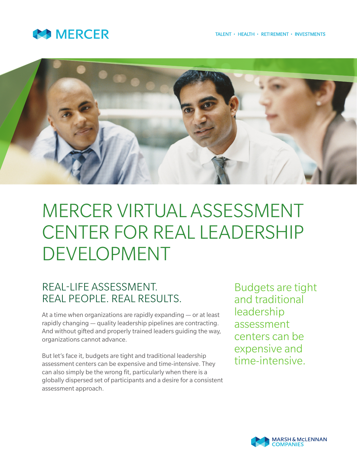



# MERCER VIRTUAL ASSESSMENT CENTER FOR REAL LEADERSHIP DEVELOPMENT

## REAL-LIFE ASSESSMENT. REAL PEOPLE. REAL RESULTS.

At a time when organizations are rapidly expanding — or at least rapidly changing — quality leadership pipelines are contracting. And without gifted and properly trained leaders guiding the way, organizations cannot advance.

But let's face it, budgets are tight and traditional leadership assessment centers can be expensive and time-intensive. They can also simply be the wrong fit, particularly when there is a globally dispersed set of participants and a desire for a consistent assessment approach.

Budgets are tight and traditional leadership assessment centers can be expensive and time-intensive.

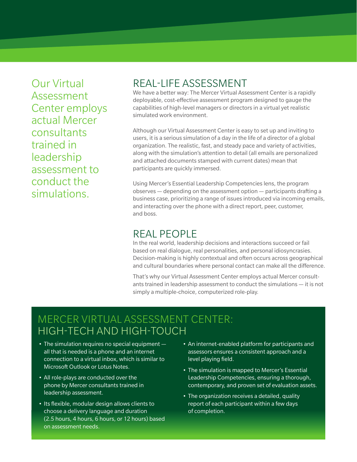Our Virtual Assessment Center employs actual Mercer consultants trained in leadership assessment to conduct the simulations.

#### REAL-LIFE ASSESSMENT

We have a better way: The Mercer Virtual Assessment Center is a rapidly deployable, cost-effective assessment program designed to gauge the capabilities of high-level managers or directors in a virtual yet realistic simulated work environment.

Although our Virtual Assessment Center is easy to set up and inviting to users, it is a serious simulation of a day in the life of a director of a global organization. The realistic, fast, and steady pace and variety of activities, along with the simulation's attention to detail (all emails are personalized and attached documents stamped with current dates) mean that participants are quickly immersed.

Using Mercer's Essential Leadership Competencies lens, the program observes — depending on the assessment option — participants drafting a business case, prioritizing a range of issues introduced via incoming emails, and interacting over the phone with a direct report, peer, customer, and boss.

#### REAL PEOPLE

In the real world, leadership decisions and interactions succeed or fail based on real dialogue, real personalities, and personal idiosyncrasies. Decision-making is highly contextual and often occurs across geographical and cultural boundaries where personal contact can make all the difference.

That's why our Virtual Assessment Center employs actual Mercer consultants trained in leadership assessment to conduct the simulations — it is not simply a multiple-choice, computerized role-play.

## MERCER VIRTUAL ASSESSMENT CENTER: HIGH-TECH AND HIGH-TOUCH

- $\bullet$  The simulation requires no special equipment  $$ all that is needed is a phone and an internet connection to a virtual inbox, which is similar to Microsoft Outlook or Lotus Notes.
- All role-plays are conducted over the phone by Mercer consultants trained in leadership assessment.
- Its flexible, modular design allows clients to choose a delivery language and duration (2.5 hours, 4 hours, 6 hours, or 12 hours) based on assessment needs.
- An internet-enabled platform for participants and assessors ensures a consistent approach and a level playing field.
- The simulation is mapped to Mercer's Essential Leadership Competencies, ensuring a thorough, contemporary, and proven set of evaluation assets.
- The organization receives a detailed, quality report of each participant within a few days of completion.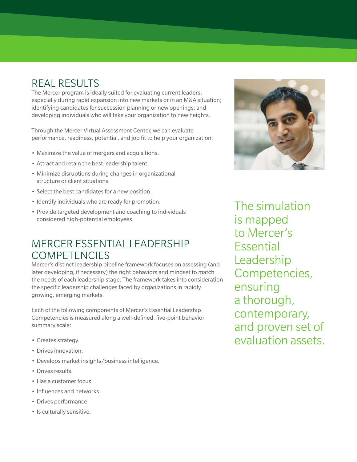# REAL RESULTS

The Mercer program is ideally suited for evaluating current leaders, especially during rapid expansion into new markets or in an M&A situation; identifying candidates for succession planning or new openings; and developing individuals who will take your organization to new heights.

Through the Mercer Virtual Assessment Center, we can evaluate performance, readiness, potential, and job fit to help your organization:

- • Maximize the value of mergers and acquisitions.
- Attract and retain the best leadership talent.
- • Minimize disruptions during changes in organizational structure or client situations.
- Select the best candidates for a new position.
- Identify individuals who are ready for promotion.
- Provide targeted development and coaching to individuals considered high-potential employees.

#### MERCER ESSENTIAL LEADERSHIP COMPETENCIES

Mercer's distinct leadership pipeline framework focuses on assessing (and later developing, if necessary) the right behaviors and mindset to match the needs of each leadership stage. The framework takes into consideration the specific leadership challenges faced by organizations in rapidly growing, emerging markets.

Each of the following components of Mercer's Essential Leadership Competencies is measured along a well-defined, five-point behavior summary scale:

- • Creates strategy.
- • Drives innovation.
- Develops market insights/business intelligence.
- Drives results.
- Has a customer focus.
- Influences and networks.
- • Drives performance.
- Is culturally sensitive.



The simulation is mapped to Mercer's Essential Leadership Competencies, ensuring a thorough, contemporary, and proven set of evaluation assets.